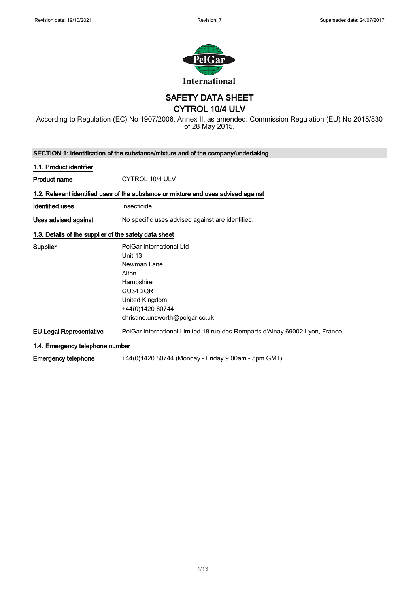

## SAFETY DATA SHEET

CYTROL 10/4 ULV

According to Regulation (EC) No 1907/2006, Annex II, as amended. Commission Regulation (EU) No 2015/830 of 28 May 2015.

| SECTION 1: Identification of the substance/mixture and of the company/undertaking |                                                                                    |
|-----------------------------------------------------------------------------------|------------------------------------------------------------------------------------|
| 1.1. Product identifier                                                           |                                                                                    |
| <b>Product name</b>                                                               | CYTROL 10/4 ULV                                                                    |
|                                                                                   | 1.2. Relevant identified uses of the substance or mixture and uses advised against |
| <b>Identified uses</b>                                                            | Insecticide.                                                                       |
| Uses advised against                                                              | No specific uses advised against are identified.                                   |
| 1.3. Details of the supplier of the safety data sheet                             |                                                                                    |
| Supplier                                                                          | PelGar International Ltd                                                           |
|                                                                                   | Unit 13                                                                            |
|                                                                                   | Newman Lane                                                                        |
|                                                                                   | Alton                                                                              |
|                                                                                   | Hampshire                                                                          |
|                                                                                   | <b>GU34 2QR</b>                                                                    |
|                                                                                   | United Kingdom                                                                     |
|                                                                                   | +44(0)1420 80744                                                                   |
|                                                                                   | christine.unsworth@pelgar.co.uk                                                    |
| <b>EU Legal Representative</b>                                                    | PelGar International Limited 18 rue des Remparts d'Ainay 69002 Lyon, France        |
| 1.4. Emergency telephone number                                                   |                                                                                    |
| <b>Emergency telephone</b>                                                        | +44(0)1420 80744 (Monday - Friday 9.00am - 5pm GMT)                                |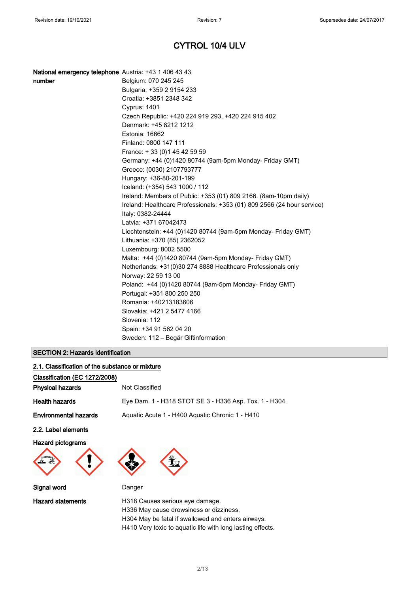#### National emergency telephone Austria: +43 1 406 43 43

| number | Belgium: 070 245 245                                                    |
|--------|-------------------------------------------------------------------------|
|        | Bulgaria: +359 2 9154 233                                               |
|        | Croatia: +3851 2348 342                                                 |
|        | <b>Cyprus: 1401</b>                                                     |
|        | Czech Republic: +420 224 919 293, +420 224 915 402                      |
|        | Denmark: +45 8212 1212                                                  |
|        | Estonia: 16662                                                          |
|        | Finland: 0800 147 111                                                   |
|        | France: + 33 (0) 1 45 42 59 59                                          |
|        | Germany: +44 (0)1420 80744 (9am-5pm Monday- Friday GMT)                 |
|        | Greece: (0030) 2107793777                                               |
|        | Hungary: +36-80-201-199                                                 |
|        | Iceland: (+354) 543 1000 / 112                                          |
|        | Ireland: Members of Public: +353 (01) 809 2166. (8am-10pm daily)        |
|        | Ireland: Healthcare Professionals: +353 (01) 809 2566 (24 hour service) |
|        | Italy: 0382-24444                                                       |
|        | Latvia: +371 67042473                                                   |
|        | Liechtenstein: +44 (0)1420 80744 (9am-5pm Monday- Friday GMT)           |
|        | Lithuania: +370 (85) 2362052                                            |
|        | Luxembourg: 8002 5500                                                   |
|        | Malta: +44 (0)1420 80744 (9am-5pm Monday- Friday GMT)                   |
|        | Netherlands: +31(0)30 274 8888 Healthcare Professionals only            |
|        | Norway: 22 59 13 00                                                     |
|        | Poland: +44 (0)1420 80744 (9am-5pm Monday- Friday GMT)                  |
|        | Portugal: +351 800 250 250                                              |
|        | Romania: +40213183606                                                   |
|        | Slovakia: +421 2 5477 4166                                              |
|        | Slovenia: 112                                                           |
|        | Spain: +34 91 562 04 20                                                 |
|        | Sweden: 112 – Begär Giftinformation                                     |

## SECTION 2: Hazards identification

| 2.1. Classification of the substance or mixture |                                                       |
|-------------------------------------------------|-------------------------------------------------------|
| Classification (EC 1272/2008)                   |                                                       |
| <b>Physical hazards</b>                         | Not Classified                                        |
| <b>Health hazards</b>                           | Eye Dam. 1 - H318 STOT SE 3 - H336 Asp. Tox. 1 - H304 |
| <b>Environmental hazards</b>                    | Aquatic Acute 1 - H400 Aquatic Chronic 1 - H410       |
| 2.2. Label elements                             |                                                       |
| <b>Hazard pictograms</b>                        |                                                       |
| Signal word                                     | Danger                                                |
| <b>Hazard statements</b>                        | H318 Causes serious eye damage.                       |

H336 May cause drowsiness or dizziness. H304 May be fatal if swallowed and enters airways. H410 Very toxic to aquatic life with long lasting effects.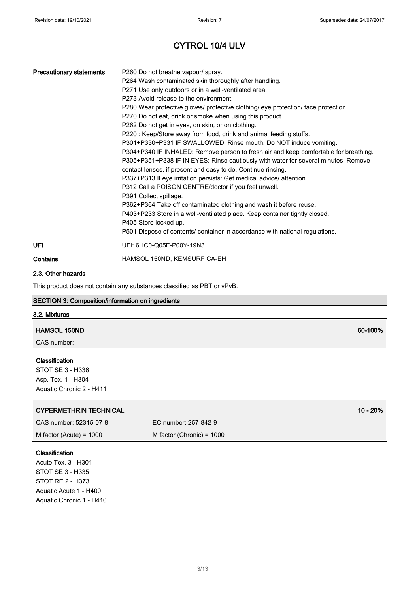| <b>Precautionary statements</b> | P260 Do not breathe vapour/ spray.                                                   |
|---------------------------------|--------------------------------------------------------------------------------------|
|                                 | P264 Wash contaminated skin thoroughly after handling.                               |
|                                 | P271 Use only outdoors or in a well-ventilated area.                                 |
|                                 | P273 Avoid release to the environment.                                               |
|                                 | P280 Wear protective gloves/ protective clothing/ eye protection/ face protection.   |
|                                 | P270 Do not eat, drink or smoke when using this product.                             |
|                                 | P262 Do not get in eyes, on skin, or on clothing.                                    |
|                                 | P220 : Keep/Store away from food, drink and animal feeding stuffs.                   |
|                                 | P301+P330+P331 IF SWALLOWED: Rinse mouth. Do NOT induce vomiting.                    |
|                                 | P304+P340 IF INHALED: Remove person to fresh air and keep comfortable for breathing. |
|                                 | P305+P351+P338 IF IN EYES: Rinse cautiously with water for several minutes. Remove   |
|                                 | contact lenses, if present and easy to do. Continue rinsing.                         |
|                                 | P337+P313 If eye irritation persists: Get medical advice/ attention.                 |
|                                 | P312 Call a POISON CENTRE/doctor if you feel unwell.                                 |
|                                 | P391 Collect spillage.                                                               |
|                                 | P362+P364 Take off contaminated clothing and wash it before reuse.                   |
|                                 | P403+P233 Store in a well-ventilated place. Keep container tightly closed.           |
|                                 | P405 Store locked up.                                                                |
|                                 | P501 Dispose of contents/ container in accordance with national regulations.         |
| UFI                             | UFI: 6HC0-Q05F-P00Y-19N3                                                             |
| Contains                        | HAMSOL 150ND, KEMSURF CA-EH                                                          |

#### 2.3. Other hazards

Aquatic Acute 1 - H400 Aquatic Chronic 1 - H410

This product does not contain any substances classified as PBT or vPvB.

### SECTION 3: Composition/information on ingredients

### 3.2. Mixtures

| <b>HAMSOL 150ND</b>                                                                  |                             | 60-100%  |
|--------------------------------------------------------------------------------------|-----------------------------|----------|
| $CAS$ number: $-$                                                                    |                             |          |
| Classification<br>STOT SE 3 - H336<br>Asp. Tox. 1 - H304<br>Aquatic Chronic 2 - H411 |                             |          |
| <b>CYPERMETHRIN TECHNICAL</b>                                                        |                             | 10 - 20% |
| CAS number: 52315-07-8                                                               | EC number: 257-842-9        |          |
| M factor (Acute) = $1000$                                                            | M factor (Chronic) = $1000$ |          |
| Classification<br>Acute Tox. 3 - H301<br>STOT SE 3 - H335                            |                             |          |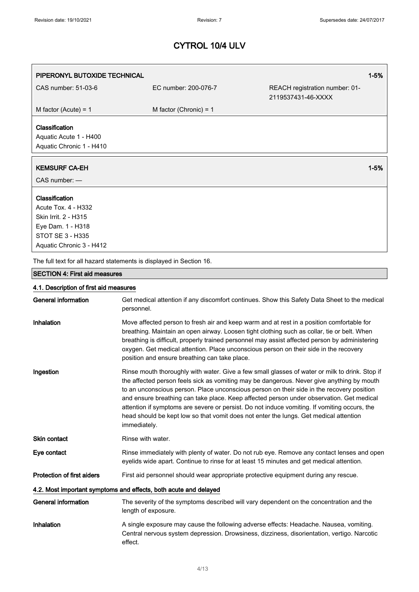| PIPERONYL BUTOXIDE TECHNICAL                 |                                                                     | $1 - 5%$                                                                                                                                                                                                                                                                                                                                                                                                                                                                                                                                                                      |
|----------------------------------------------|---------------------------------------------------------------------|-------------------------------------------------------------------------------------------------------------------------------------------------------------------------------------------------------------------------------------------------------------------------------------------------------------------------------------------------------------------------------------------------------------------------------------------------------------------------------------------------------------------------------------------------------------------------------|
| CAS number: 51-03-6                          | EC number: 200-076-7                                                | REACH registration number: 01-                                                                                                                                                                                                                                                                                                                                                                                                                                                                                                                                                |
|                                              |                                                                     | 2119537431-46-XXXX                                                                                                                                                                                                                                                                                                                                                                                                                                                                                                                                                            |
| M factor (Acute) = $1$                       | M factor (Chronic) = $1$                                            |                                                                                                                                                                                                                                                                                                                                                                                                                                                                                                                                                                               |
| Classification                               |                                                                     |                                                                                                                                                                                                                                                                                                                                                                                                                                                                                                                                                                               |
| Aquatic Acute 1 - H400                       |                                                                     |                                                                                                                                                                                                                                                                                                                                                                                                                                                                                                                                                                               |
| Aquatic Chronic 1 - H410                     |                                                                     |                                                                                                                                                                                                                                                                                                                                                                                                                                                                                                                                                                               |
| <b>KEMSURF CA-EH</b>                         |                                                                     | $1 - 5%$                                                                                                                                                                                                                                                                                                                                                                                                                                                                                                                                                                      |
| CAS number: -                                |                                                                     |                                                                                                                                                                                                                                                                                                                                                                                                                                                                                                                                                                               |
| Classification                               |                                                                     |                                                                                                                                                                                                                                                                                                                                                                                                                                                                                                                                                                               |
| <b>Acute Tox. 4 - H332</b>                   |                                                                     |                                                                                                                                                                                                                                                                                                                                                                                                                                                                                                                                                                               |
| Skin Irrit. 2 - H315                         |                                                                     |                                                                                                                                                                                                                                                                                                                                                                                                                                                                                                                                                                               |
| Eye Dam. 1 - H318<br><b>STOT SE 3 - H335</b> |                                                                     |                                                                                                                                                                                                                                                                                                                                                                                                                                                                                                                                                                               |
| Aquatic Chronic 3 - H412                     |                                                                     |                                                                                                                                                                                                                                                                                                                                                                                                                                                                                                                                                                               |
|                                              | The full text for all hazard statements is displayed in Section 16. |                                                                                                                                                                                                                                                                                                                                                                                                                                                                                                                                                                               |
| <b>SECTION 4: First aid measures</b>         |                                                                     |                                                                                                                                                                                                                                                                                                                                                                                                                                                                                                                                                                               |
| 4.1. Description of first aid measures       |                                                                     |                                                                                                                                                                                                                                                                                                                                                                                                                                                                                                                                                                               |
| <b>General information</b>                   | personnel.                                                          | Get medical attention if any discomfort continues. Show this Safety Data Sheet to the medical                                                                                                                                                                                                                                                                                                                                                                                                                                                                                 |
| Inhalation                                   | position and ensure breathing can take place.                       | Move affected person to fresh air and keep warm and at rest in a position comfortable for<br>breathing. Maintain an open airway. Loosen tight clothing such as collar, tie or belt. When<br>breathing is difficult, properly trained personnel may assist affected person by administering<br>oxygen. Get medical attention. Place unconscious person on their side in the recovery                                                                                                                                                                                           |
| Ingestion                                    | immediately.                                                        | Rinse mouth thoroughly with water. Give a few small glasses of water or milk to drink. Stop if<br>the affected person feels sick as vomiting may be dangerous. Never give anything by mouth<br>to an unconscious person. Place unconscious person on their side in the recovery position<br>and ensure breathing can take place. Keep affected person under observation. Get medical<br>attention if symptoms are severe or persist. Do not induce vomiting. If vomiting occurs, the<br>head should be kept low so that vomit does not enter the lungs. Get medical attention |
| Skin contact                                 | Rinse with water.                                                   |                                                                                                                                                                                                                                                                                                                                                                                                                                                                                                                                                                               |
| Eye contact                                  |                                                                     | Rinse immediately with plenty of water. Do not rub eye. Remove any contact lenses and open<br>eyelids wide apart. Continue to rinse for at least 15 minutes and get medical attention.                                                                                                                                                                                                                                                                                                                                                                                        |
| <b>Protection of first aiders</b>            |                                                                     | First aid personnel should wear appropriate protective equipment during any rescue.                                                                                                                                                                                                                                                                                                                                                                                                                                                                                           |
|                                              | 4.2. Most important symptoms and effects, both acute and delayed    |                                                                                                                                                                                                                                                                                                                                                                                                                                                                                                                                                                               |
| <b>General information</b>                   | length of exposure.                                                 | The severity of the symptoms described will vary dependent on the concentration and the                                                                                                                                                                                                                                                                                                                                                                                                                                                                                       |
| Inhalation                                   | effect.                                                             | A single exposure may cause the following adverse effects: Headache. Nausea, vomiting.<br>Central nervous system depression. Drowsiness, dizziness, disorientation, vertigo. Narcotic                                                                                                                                                                                                                                                                                                                                                                                         |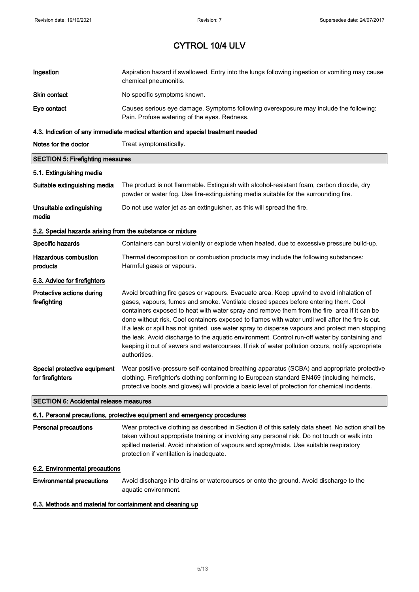| Ingestion                                                                       | Aspiration hazard if swallowed. Entry into the lungs following ingestion or vomiting may cause<br>chemical pneumonitis.                                                           |  |
|---------------------------------------------------------------------------------|-----------------------------------------------------------------------------------------------------------------------------------------------------------------------------------|--|
| Skin contact                                                                    | No specific symptoms known.                                                                                                                                                       |  |
| Eye contact                                                                     | Causes serious eye damage. Symptoms following overexposure may include the following:<br>Pain. Profuse watering of the eyes. Redness.                                             |  |
| 4.3. Indication of any immediate medical attention and special treatment needed |                                                                                                                                                                                   |  |
| Notes for the doctor                                                            | Treat symptomatically.                                                                                                                                                            |  |
| <b>SECTION 5: Firefighting measures</b>                                         |                                                                                                                                                                                   |  |
| 5.1. Extinguishing media                                                        |                                                                                                                                                                                   |  |
| Suitable extinguishing media                                                    | The product is not flammable. Extinguish with alcohol-resistant foam, carbon dioxide, dry<br>powder or water fog. Use fire-extinguishing media suitable for the surrounding fire. |  |
| Unsuitable extinguishing<br>media                                               | Do not use water jet as an extinguisher, as this will spread the fire.                                                                                                            |  |
| 5.2. Special hazards arising from the substance or mixture                      |                                                                                                                                                                                   |  |

Specific hazards **Containers can burst violently or explode when heated, due to excessive pressure build-up.** Hazardous combustion products Thermal decomposition or combustion products may include the following substances: Harmful gases or vapours. 5.3. Advice for firefighters

Protective actions during firefighting Avoid breathing fire gases or vapours. Evacuate area. Keep upwind to avoid inhalation of gases, vapours, fumes and smoke. Ventilate closed spaces before entering them. Cool containers exposed to heat with water spray and remove them from the fire area if it can be done without risk. Cool containers exposed to flames with water until well after the fire is out. If a leak or spill has not ignited, use water spray to disperse vapours and protect men stopping the leak. Avoid discharge to the aquatic environment. Control run-off water by containing and keeping it out of sewers and watercourses. If risk of water pollution occurs, notify appropriate authorities. Special protective equipment for firefighters Wear positive-pressure self-contained breathing apparatus (SCBA) and appropriate protective clothing. Firefighter's clothing conforming to European standard EN469 (including helmets,

protective boots and gloves) will provide a basic level of protection for chemical incidents.

#### SECTION 6: Accidental release measures

#### 6.1. Personal precautions, protective equipment and emergency procedures

Personal precautions Wear protective clothing as described in Section 8 of this safety data sheet. No action shall be taken without appropriate training or involving any personal risk. Do not touch or walk into spilled material. Avoid inhalation of vapours and spray/mists. Use suitable respiratory protection if ventilation is inadequate.

#### 6.2. Environmental precautions

Environmental precautions Avoid discharge into drains or watercourses or onto the ground. Avoid discharge to the aquatic environment.

#### 6.3. Methods and material for containment and cleaning up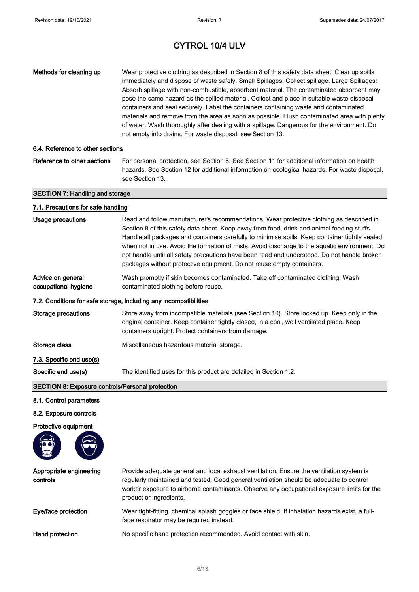| Methods for cleaning up                                 | Wear protective clothing as described in Section 8 of this safety data sheet. Clear up spills<br>immediately and dispose of waste safely. Small Spillages: Collect spillage. Large Spillages:<br>Absorb spillage with non-combustible, absorbent material. The contaminated absorbent may<br>pose the same hazard as the spilled material. Collect and place in suitable waste disposal<br>containers and seal securely. Label the containers containing waste and contaminated<br>materials and remove from the area as soon as possible. Flush contaminated area with plenty<br>of water. Wash thoroughly after dealing with a spillage. Dangerous for the environment. Do<br>not empty into drains. For waste disposal, see Section 13. |
|---------------------------------------------------------|--------------------------------------------------------------------------------------------------------------------------------------------------------------------------------------------------------------------------------------------------------------------------------------------------------------------------------------------------------------------------------------------------------------------------------------------------------------------------------------------------------------------------------------------------------------------------------------------------------------------------------------------------------------------------------------------------------------------------------------------|
| 6.4. Reference to other sections                        |                                                                                                                                                                                                                                                                                                                                                                                                                                                                                                                                                                                                                                                                                                                                            |
| Reference to other sections                             | For personal protection, see Section 8. See Section 11 for additional information on health<br>hazards. See Section 12 for additional information on ecological hazards. For waste disposal,<br>see Section 13.                                                                                                                                                                                                                                                                                                                                                                                                                                                                                                                            |
| <b>SECTION 7: Handling and storage</b>                  |                                                                                                                                                                                                                                                                                                                                                                                                                                                                                                                                                                                                                                                                                                                                            |
| 7.1. Precautions for safe handling                      |                                                                                                                                                                                                                                                                                                                                                                                                                                                                                                                                                                                                                                                                                                                                            |
| <b>Usage precautions</b>                                | Read and follow manufacturer's recommendations. Wear protective clothing as described in<br>Section 8 of this safety data sheet. Keep away from food, drink and animal feeding stuffs.<br>Handle all packages and containers carefully to minimise spills. Keep container tightly sealed<br>when not in use. Avoid the formation of mists. Avoid discharge to the aquatic environment. Do<br>not handle until all safety precautions have been read and understood. Do not handle broken<br>packages without protective equipment. Do not reuse empty containers.                                                                                                                                                                          |
| Advice on general<br>occupational hygiene               | Wash promptly if skin becomes contaminated. Take off contaminated clothing. Wash<br>contaminated clothing before reuse.                                                                                                                                                                                                                                                                                                                                                                                                                                                                                                                                                                                                                    |
|                                                         | 7.2. Conditions for safe storage, including any incompatibilities                                                                                                                                                                                                                                                                                                                                                                                                                                                                                                                                                                                                                                                                          |
| <b>Storage precautions</b>                              | Store away from incompatible materials (see Section 10). Store locked up. Keep only in the<br>original container. Keep container tightly closed, in a cool, well ventilated place. Keep<br>containers upright. Protect containers from damage.                                                                                                                                                                                                                                                                                                                                                                                                                                                                                             |
| Storage class                                           | Miscellaneous hazardous material storage.                                                                                                                                                                                                                                                                                                                                                                                                                                                                                                                                                                                                                                                                                                  |
| 7.3. Specific end use(s)                                |                                                                                                                                                                                                                                                                                                                                                                                                                                                                                                                                                                                                                                                                                                                                            |
| Specific end use(s)                                     | The identified uses for this product are detailed in Section 1.2.                                                                                                                                                                                                                                                                                                                                                                                                                                                                                                                                                                                                                                                                          |
| <b>SECTION 8: Exposure controls/Personal protection</b> |                                                                                                                                                                                                                                                                                                                                                                                                                                                                                                                                                                                                                                                                                                                                            |
| 8.1. Control parameters                                 |                                                                                                                                                                                                                                                                                                                                                                                                                                                                                                                                                                                                                                                                                                                                            |
| 8.2. Exposure controls                                  |                                                                                                                                                                                                                                                                                                                                                                                                                                                                                                                                                                                                                                                                                                                                            |
| Protective equipment                                    |                                                                                                                                                                                                                                                                                                                                                                                                                                                                                                                                                                                                                                                                                                                                            |
|                                                         |                                                                                                                                                                                                                                                                                                                                                                                                                                                                                                                                                                                                                                                                                                                                            |
| Appropriate engineering<br>controls                     | Provide adequate general and local exhaust ventilation. Ensure the ventilation system is<br>regularly maintained and tested. Good general ventilation should be adequate to control<br>worker exposure to airborne contaminants. Observe any occupational exposure limits for the<br>product or ingredients.                                                                                                                                                                                                                                                                                                                                                                                                                               |
| Eye/face protection                                     | Wear tight-fitting, chemical splash goggles or face shield. If inhalation hazards exist, a full-<br>face respirator may be required instead.                                                                                                                                                                                                                                                                                                                                                                                                                                                                                                                                                                                               |
| Hand protection                                         | No specific hand protection recommended. Avoid contact with skin.                                                                                                                                                                                                                                                                                                                                                                                                                                                                                                                                                                                                                                                                          |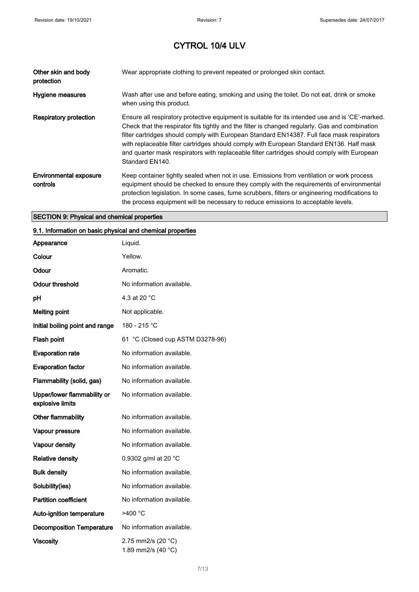| Other skin and body<br>protection                  | Wear appropriate clothing to prevent repeated or prolonged skin contact.                                                                                                                                                                                                                                                                                                                                                                                                                                        |
|----------------------------------------------------|-----------------------------------------------------------------------------------------------------------------------------------------------------------------------------------------------------------------------------------------------------------------------------------------------------------------------------------------------------------------------------------------------------------------------------------------------------------------------------------------------------------------|
| Hygiene measures                                   | Wash after use and before eating, smoking and using the toilet. Do not eat, drink or smoke<br>when using this product.                                                                                                                                                                                                                                                                                                                                                                                          |
| Respiratory protection                             | Ensure all respiratory protective equipment is suitable for its intended use and is 'CE'-marked.<br>Check that the respirator fits tightly and the filter is changed regularly. Gas and combination<br>filter cartridges should comply with European Standard EN14387. Full face mask respirators<br>with replaceable filter cartridges should comply with European Standard EN136. Half mask<br>and quarter mask respirators with replaceable filter cartridges should comply with European<br>Standard EN140. |
| <b>Environmental exposure</b><br>controls          | Keep container tightly sealed when not in use. Emissions from ventilation or work process<br>equipment should be checked to ensure they comply with the requirements of environmental<br>protection legislation. In some cases, fume scrubbers, filters or engineering modifications to<br>the process equipment will be necessary to reduce emissions to acceptable levels.                                                                                                                                    |
| <b>SECTION 9: Physical and chemical properties</b> |                                                                                                                                                                                                                                                                                                                                                                                                                                                                                                                 |

## 9.1. Information on basic physical and chemical properties

| Appearance                                      | Liquid.                                  |
|-------------------------------------------------|------------------------------------------|
| Colour                                          | Yellow.                                  |
| Odour                                           | Aromatic.                                |
| <b>Odour threshold</b>                          | No information available.                |
| рH                                              | 4.3 at 20 °C                             |
| <b>Melting point</b>                            | Not applicable.                          |
| Initial boiling point and range                 | 180 - 215 °C                             |
| Flash point                                     | 61 °C (Closed cup ASTM D3278-96)         |
| <b>Evaporation rate</b>                         | No information available.                |
| <b>Evaporation factor</b>                       | No information available.                |
| Flammability (solid, gas)                       | No information available.                |
| Upper/lower flammability or<br>explosive limits | No information available.                |
| Other flammability                              | No information available.                |
| Vapour pressure                                 | No information available.                |
| Vapour density                                  | No information available.                |
| <b>Relative density</b>                         | 0.9302 g/ml at 20 °C                     |
| <b>Bulk density</b>                             | No information available.                |
| Solubility(ies)                                 | No information available.                |
| <b>Partition coefficient</b>                    | No information available.                |
| Auto-ignition temperature                       | >400 °C                                  |
| <b>Decomposition Temperature</b>                | No information available.                |
| <b>Viscosity</b>                                | 2.75 mm2/s (20 °C)<br>1.89 mm2/s (40 °C) |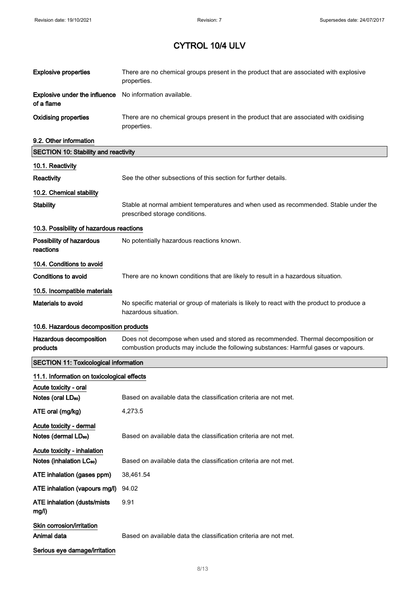| <b>Explosive properties</b>                        | There are no chemical groups present in the product that are associated with explosive<br>properties.                                                                   |
|----------------------------------------------------|-------------------------------------------------------------------------------------------------------------------------------------------------------------------------|
| <b>Explosive under the influence</b><br>of a flame | No information available.                                                                                                                                               |
| <b>Oxidising properties</b>                        | There are no chemical groups present in the product that are associated with oxidising<br>properties.                                                                   |
| 9.2. Other information                             |                                                                                                                                                                         |
| <b>SECTION 10: Stability and reactivity</b>        |                                                                                                                                                                         |
| 10.1. Reactivity                                   |                                                                                                                                                                         |
| <b>Reactivity</b>                                  | See the other subsections of this section for further details.                                                                                                          |
| 10.2. Chemical stability                           |                                                                                                                                                                         |
| <b>Stability</b>                                   | Stable at normal ambient temperatures and when used as recommended. Stable under the<br>prescribed storage conditions.                                                  |
| 10.3. Possibility of hazardous reactions           |                                                                                                                                                                         |
| Possibility of hazardous<br>reactions              | No potentially hazardous reactions known.                                                                                                                               |
| 10.4. Conditions to avoid                          |                                                                                                                                                                         |
| <b>Conditions to avoid</b>                         | There are no known conditions that are likely to result in a hazardous situation.                                                                                       |
| 10.5. Incompatible materials                       |                                                                                                                                                                         |
| Materials to avoid                                 | No specific material or group of materials is likely to react with the product to produce a<br>hazardous situation.                                                     |
| 10.6. Hazardous decomposition products             |                                                                                                                                                                         |
| Hazardous decomposition<br>products                | Does not decompose when used and stored as recommended. Thermal decomposition or<br>combustion products may include the following substances: Harmful gases or vapours. |
| <b>SECTION 11: Toxicological information</b>       |                                                                                                                                                                         |
| 11.1. Information on toxicological effects         |                                                                                                                                                                         |
| Acute toxicity - oral                              |                                                                                                                                                                         |
| Notes (oral LD <sub>50</sub> )                     | Based on available data the classification criteria are not met.                                                                                                        |
| ATE oral (mg/kg)                                   | 4,273.5                                                                                                                                                                 |
| Acute toxicity - dermal<br>Notes (dermal LDso)     | Based on available data the classification criteria are not met.                                                                                                        |
| Acute toxicity - inhalation                        |                                                                                                                                                                         |
| Notes (inhalation LC <sub>50</sub> )               | Based on available data the classification criteria are not met.                                                                                                        |
| ATE inhalation (gases ppm)                         | 38,461.54                                                                                                                                                               |
| ATE inhalation (vapours mg/l)                      | 94.02                                                                                                                                                                   |
| <b>ATE inhalation (dusts/mists)</b><br>mg/l)       | 9.91                                                                                                                                                                    |
| Skin corrosion/irritation<br>Animal data           | Based on available data the classification criteria are not met.                                                                                                        |
| Serious eye damage/irritation                      |                                                                                                                                                                         |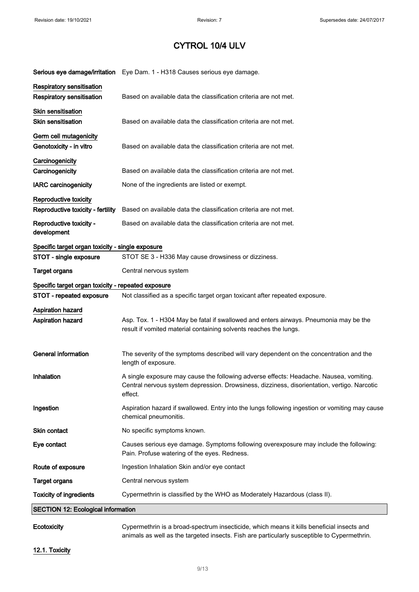|                                                            | Serious eye damage/irritation Eye Dam. 1 - H318 Causes serious eye damage.                                                                                                                       |
|------------------------------------------------------------|--------------------------------------------------------------------------------------------------------------------------------------------------------------------------------------------------|
| Respiratory sensitisation<br>Respiratory sensitisation     | Based on available data the classification criteria are not met.                                                                                                                                 |
| Skin sensitisation<br><b>Skin sensitisation</b>            | Based on available data the classification criteria are not met.                                                                                                                                 |
| Germ cell mutagenicity<br>Genotoxicity - in vitro          | Based on available data the classification criteria are not met.                                                                                                                                 |
| Carcinogenicity<br>Carcinogenicity                         | Based on available data the classification criteria are not met.                                                                                                                                 |
| <b>IARC</b> carcinogenicity                                | None of the ingredients are listed or exempt.                                                                                                                                                    |
| Reproductive toxicity<br>Reproductive toxicity - fertility | Based on available data the classification criteria are not met.                                                                                                                                 |
| Reproductive toxicity -<br>development                     | Based on available data the classification criteria are not met.                                                                                                                                 |
| Specific target organ toxicity - single exposure           |                                                                                                                                                                                                  |
| STOT - single exposure                                     | STOT SE 3 - H336 May cause drowsiness or dizziness.                                                                                                                                              |
| <b>Target organs</b>                                       | Central nervous system                                                                                                                                                                           |
| Specific target organ toxicity - repeated exposure         |                                                                                                                                                                                                  |
| STOT - repeated exposure                                   | Not classified as a specific target organ toxicant after repeated exposure.                                                                                                                      |
| Aspiration hazard<br>Aspiration hazard                     | Asp. Tox. 1 - H304 May be fatal if swallowed and enters airways. Pneumonia may be the<br>result if vomited material containing solvents reaches the lungs.                                       |
| <b>General information</b>                                 | The severity of the symptoms described will vary dependent on the concentration and the<br>length of exposure.                                                                                   |
| Inhalation                                                 | A single exposure may cause the following adverse effects: Headache. Nausea, vomiting.<br>Central nervous system depression. Drowsiness, dizziness, disorientation, vertigo. Narcotic<br>effect. |
| Ingestion                                                  | Aspiration hazard if swallowed. Entry into the lungs following ingestion or vomiting may cause<br>chemical pneumonitis.                                                                          |
| Skin contact                                               | No specific symptoms known.                                                                                                                                                                      |
| Eye contact                                                | Causes serious eye damage. Symptoms following overexposure may include the following:<br>Pain. Profuse watering of the eyes. Redness.                                                            |
| Route of exposure                                          | Ingestion Inhalation Skin and/or eye contact                                                                                                                                                     |
| <b>Target organs</b>                                       | Central nervous system                                                                                                                                                                           |
| <b>Toxicity of ingredients</b>                             | Cypermethrin is classified by the WHO as Moderately Hazardous (class II).                                                                                                                        |
| <b>SECTION 12: Ecological information</b>                  |                                                                                                                                                                                                  |

Ecotoxicity Cypermethrin is a broad-spectrum insecticide, which means it kills beneficial insects and animals as well as the targeted insects. Fish are particularly susceptible to Cypermethrin.

12.1. Toxicity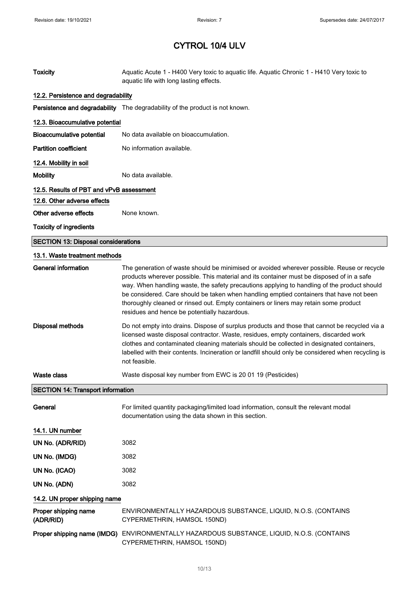| <b>Toxicity</b>                            | Aquatic Acute 1 - H400 Very toxic to aquatic life. Aquatic Chronic 1 - H410 Very toxic to<br>aquatic life with long lasting effects.                                                                                                                                                                                                                                                                                                                                                                                      |  |  |
|--------------------------------------------|---------------------------------------------------------------------------------------------------------------------------------------------------------------------------------------------------------------------------------------------------------------------------------------------------------------------------------------------------------------------------------------------------------------------------------------------------------------------------------------------------------------------------|--|--|
|                                            | 12.2. Persistence and degradability                                                                                                                                                                                                                                                                                                                                                                                                                                                                                       |  |  |
|                                            | Persistence and degradability The degradability of the product is not known.                                                                                                                                                                                                                                                                                                                                                                                                                                              |  |  |
| 12.3. Bioaccumulative potential            |                                                                                                                                                                                                                                                                                                                                                                                                                                                                                                                           |  |  |
| <b>Bioaccumulative potential</b>           | No data available on bioaccumulation.                                                                                                                                                                                                                                                                                                                                                                                                                                                                                     |  |  |
| <b>Partition coefficient</b>               | No information available.                                                                                                                                                                                                                                                                                                                                                                                                                                                                                                 |  |  |
| 12.4. Mobility in soil                     |                                                                                                                                                                                                                                                                                                                                                                                                                                                                                                                           |  |  |
| <b>Mobility</b>                            | No data available.                                                                                                                                                                                                                                                                                                                                                                                                                                                                                                        |  |  |
| 12.5. Results of PBT and vPvB assessment   |                                                                                                                                                                                                                                                                                                                                                                                                                                                                                                                           |  |  |
| 12.6. Other adverse effects                |                                                                                                                                                                                                                                                                                                                                                                                                                                                                                                                           |  |  |
| Other adverse effects                      | None known.                                                                                                                                                                                                                                                                                                                                                                                                                                                                                                               |  |  |
| <b>Toxicity of ingredients</b>             |                                                                                                                                                                                                                                                                                                                                                                                                                                                                                                                           |  |  |
| <b>SECTION 13: Disposal considerations</b> |                                                                                                                                                                                                                                                                                                                                                                                                                                                                                                                           |  |  |
| 13.1. Waste treatment methods              |                                                                                                                                                                                                                                                                                                                                                                                                                                                                                                                           |  |  |
| <b>General information</b>                 | The generation of waste should be minimised or avoided wherever possible. Reuse or recycle<br>products wherever possible. This material and its container must be disposed of in a safe<br>way. When handling waste, the safety precautions applying to handling of the product should<br>be considered. Care should be taken when handling emptied containers that have not been<br>thoroughly cleaned or rinsed out. Empty containers or liners may retain some product<br>residues and hence be potentially hazardous. |  |  |
| Disposal methods                           | Do not empty into drains. Dispose of surplus products and those that cannot be recycled via a<br>licensed waste disposal contractor. Waste, residues, empty containers, discarded work<br>clothes and contaminated cleaning materials should be collected in designated containers,<br>labelled with their contents. Incineration or landfill should only be considered when recycling is<br>not feasible.                                                                                                                |  |  |
| <b>Waste class</b>                         | Waste disposal key number from EWC is 20 01 19 (Pesticides)                                                                                                                                                                                                                                                                                                                                                                                                                                                               |  |  |
| <b>SECTION 14: Transport information</b>   |                                                                                                                                                                                                                                                                                                                                                                                                                                                                                                                           |  |  |
| General                                    | For limited quantity packaging/limited load information, consult the relevant modal<br>documentation using the data shown in this section.                                                                                                                                                                                                                                                                                                                                                                                |  |  |
| 14.1. UN number                            |                                                                                                                                                                                                                                                                                                                                                                                                                                                                                                                           |  |  |
| UN No. (ADR/RID)                           | 3082                                                                                                                                                                                                                                                                                                                                                                                                                                                                                                                      |  |  |
| UN No. (IMDG)                              | 3082                                                                                                                                                                                                                                                                                                                                                                                                                                                                                                                      |  |  |
| UN No. (ICAO)                              | 3082                                                                                                                                                                                                                                                                                                                                                                                                                                                                                                                      |  |  |
| UN No. (ADN)                               | 3082                                                                                                                                                                                                                                                                                                                                                                                                                                                                                                                      |  |  |
| 14.2. UN proper shipping name              |                                                                                                                                                                                                                                                                                                                                                                                                                                                                                                                           |  |  |
| Proper shipping name<br>(ADR/RID)          | ENVIRONMENTALLY HAZARDOUS SUBSTANCE, LIQUID, N.O.S. (CONTAINS<br>CYPERMETHRIN, HAMSOL 150ND)                                                                                                                                                                                                                                                                                                                                                                                                                              |  |  |
|                                            | Proper shipping name (IMDG) ENVIRONMENTALLY HAZARDOUS SUBSTANCE, LIQUID, N.O.S. (CONTAINS<br>CYPERMETHRIN, HAMSOL 150ND)                                                                                                                                                                                                                                                                                                                                                                                                  |  |  |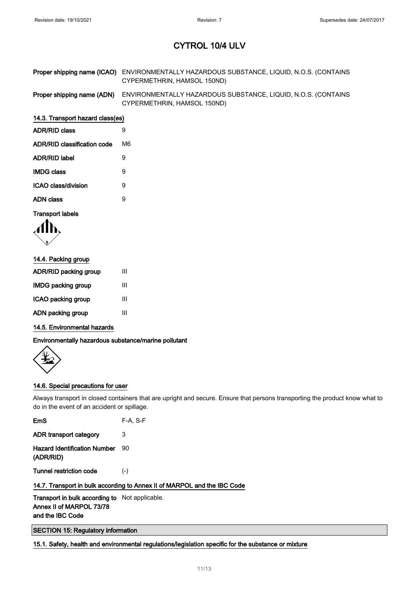| Proper shipping name (ICAO) ENVIRONMENTALLY HAZARDOUS SUBSTANCE, LIQUID, N.O.S. (CONTAINS |
|-------------------------------------------------------------------------------------------|
| CYPERMETHRIN, HAMSOL 150ND)                                                               |

Proper shipping name (ADN) ENVIRONMENTALLY HAZARDOUS SUBSTANCE, LIQUID, N.O.S. (CONTAINS CYPERMETHRIN, HAMSOL 150ND)

#### 14.3. Transport hazard class(es)

| <b>ADR/RID class</b>               | я  |
|------------------------------------|----|
| <b>ADR/RID classification code</b> | М6 |
| ADR/RID label                      | 9  |
| <b>IMDG class</b>                  | 9  |
| ICAO class/division                | 9  |
| ADN class                          | 9  |
|                                    |    |

#### Transport labels

$$
\langle \prod_{i} \mathbf{b}_{i}
$$

| 14.4. Packing group   |   |
|-----------------------|---|
| ADR/RID packing group | Ш |
| IMDG packing group    | Ш |
| ICAO packing group    | Ш |
| ADN packing group     | Ш |

### 14.5. Environmental hazards

Environmentally hazardous substance/marine pollutant



### 14.6. Special precautions for user

Always transport in closed containers that are upright and secure. Ensure that persons transporting the product know what to do in the event of an accident or spillage.

| <b>Transport in bulk according to</b> Not applicable.                    |          |
|--------------------------------------------------------------------------|----------|
| 14.7. Transport in bulk according to Annex II of MARPOL and the IBC Code |          |
| Tunnel restriction code                                                  | $(-)$    |
| <b>Hazard Identification Number</b><br>(ADR/RID)                         | 90       |
| ADR transport category                                                   | 3        |
| EmS                                                                      | F-A. S-F |

Annex II of MARPOL 73/78 and the IBC Code

### SECTION 15: Regulatory information

15.1. Safety, health and environmental regulations/legislation specific for the substance or mixture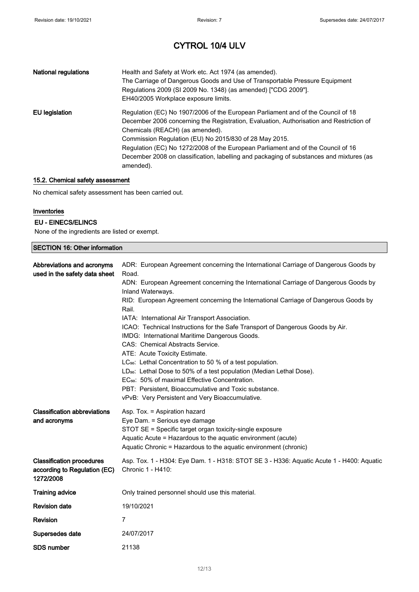| <b>National regulations</b> | Health and Safety at Work etc. Act 1974 (as amended).<br>The Carriage of Dangerous Goods and Use of Transportable Pressure Equipment<br>Regulations 2009 (SI 2009 No. 1348) (as amended) ["CDG 2009"].<br>EH40/2005 Workplace exposure limits.                                                                                                                                                                                                                       |
|-----------------------------|----------------------------------------------------------------------------------------------------------------------------------------------------------------------------------------------------------------------------------------------------------------------------------------------------------------------------------------------------------------------------------------------------------------------------------------------------------------------|
| EU legislation              | Regulation (EC) No 1907/2006 of the European Parliament and of the Council of 18<br>December 2006 concerning the Registration, Evaluation, Authorisation and Restriction of<br>Chemicals (REACH) (as amended).<br>Commission Regulation (EU) No 2015/830 of 28 May 2015.<br>Regulation (EC) No 1272/2008 of the European Parliament and of the Council of 16<br>December 2008 on classification, labelling and packaging of substances and mixtures (as<br>amended). |

#### 15.2. Chemical safety assessment

No chemical safety assessment has been carried out.

#### Inventories

#### EU - EINECS/ELINCS

None of the ingredients are listed or exempt.

| <b>SECTION 16: Other information</b>                                          |                                                                                                                                                                                                                                                                                                                                                                                                                                                                                                                                                                                                                                                                                                                                                                                                                                                                                                           |
|-------------------------------------------------------------------------------|-----------------------------------------------------------------------------------------------------------------------------------------------------------------------------------------------------------------------------------------------------------------------------------------------------------------------------------------------------------------------------------------------------------------------------------------------------------------------------------------------------------------------------------------------------------------------------------------------------------------------------------------------------------------------------------------------------------------------------------------------------------------------------------------------------------------------------------------------------------------------------------------------------------|
| Abbreviations and acronyms<br>used in the safety data sheet                   | ADR: European Agreement concerning the International Carriage of Dangerous Goods by<br>Road.<br>ADN: European Agreement concerning the International Carriage of Dangerous Goods by<br>Inland Waterways.<br>RID: European Agreement concerning the International Carriage of Dangerous Goods by<br>Rail.<br>IATA: International Air Transport Association.<br>ICAO: Technical Instructions for the Safe Transport of Dangerous Goods by Air.<br>IMDG: International Maritime Dangerous Goods.<br>CAS: Chemical Abstracts Service.<br>ATE: Acute Toxicity Estimate.<br>LC <sub>50</sub> : Lethal Concentration to 50 % of a test population.<br>LD <sub>50</sub> : Lethal Dose to 50% of a test population (Median Lethal Dose).<br>EC <sub>50</sub> : 50% of maximal Effective Concentration.<br>PBT: Persistent, Bioaccumulative and Toxic substance.<br>vPvB: Very Persistent and Very Bioaccumulative. |
| <b>Classification abbreviations</b><br>and acronyms                           | Asp. Tox. = Aspiration hazard<br>Eye Dam. = Serious eye damage<br>STOT SE = Specific target organ toxicity-single exposure<br>Aquatic Acute = Hazardous to the aquatic environment (acute)<br>Aquatic Chronic = Hazardous to the aquatic environment (chronic)                                                                                                                                                                                                                                                                                                                                                                                                                                                                                                                                                                                                                                            |
| <b>Classification procedures</b><br>according to Regulation (EC)<br>1272/2008 | Asp. Tox. 1 - H304: Eye Dam. 1 - H318: STOT SE 3 - H336: Aquatic Acute 1 - H400: Aquatic<br>Chronic 1 - H410:                                                                                                                                                                                                                                                                                                                                                                                                                                                                                                                                                                                                                                                                                                                                                                                             |
| <b>Training advice</b>                                                        | Only trained personnel should use this material.                                                                                                                                                                                                                                                                                                                                                                                                                                                                                                                                                                                                                                                                                                                                                                                                                                                          |
| <b>Revision date</b>                                                          | 19/10/2021                                                                                                                                                                                                                                                                                                                                                                                                                                                                                                                                                                                                                                                                                                                                                                                                                                                                                                |
| Revision                                                                      | 7                                                                                                                                                                                                                                                                                                                                                                                                                                                                                                                                                                                                                                                                                                                                                                                                                                                                                                         |
| Supersedes date                                                               | 24/07/2017                                                                                                                                                                                                                                                                                                                                                                                                                                                                                                                                                                                                                                                                                                                                                                                                                                                                                                |
| <b>SDS number</b>                                                             | 21138                                                                                                                                                                                                                                                                                                                                                                                                                                                                                                                                                                                                                                                                                                                                                                                                                                                                                                     |